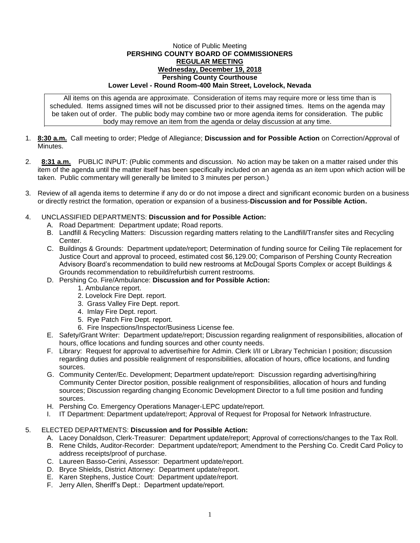## Notice of Public Meeting **PERSHING COUNTY BOARD OF COMMISSIONERS REGULAR MEETING Wednesday, December 19, 2018 Pershing County Courthouse Lower Level - Round Room-400 Main Street, Lovelock, Nevada**

All items on this agenda are approximate. Consideration of items may require more or less time than is scheduled. Items assigned times will not be discussed prior to their assigned times. Items on the agenda may be taken out of order. The public body may combine two or more agenda items for consideration. The public body may remove an item from the agenda or delay discussion at any time.

- 1. **8:30 a.m.** Call meeting to order; Pledge of Allegiance; **Discussion and for Possible Action** on Correction/Approval of Minutes.
- 2. **8:31 a.m.** PUBLIC INPUT: (Public comments and discussion. No action may be taken on a matter raised under this item of the agenda until the matter itself has been specifically included on an agenda as an item upon which action will be taken. Public commentary will generally be limited to 3 minutes per person.)
- 3. Review of all agenda items to determine if any do or do not impose a direct and significant economic burden on a business or directly restrict the formation, operation or expansion of a business-**Discussion and for Possible Action.**

## 4. UNCLASSIFIED DEPARTMENTS: **Discussion and for Possible Action:**

- A. Road Department: Department update; Road reports.
- B. Landfill & Recycling Matters: Discussion regarding matters relating to the Landfill/Transfer sites and Recycling Center.
- C. Buildings & Grounds: Department update/report; Determination of funding source for Ceiling Tile replacement for Justice Court and approval to proceed, estimated cost \$6,129.00; Comparison of Pershing County Recreation Advisory Board's recommendation to build new restrooms at McDougal Sports Complex or accept Buildings & Grounds recommendation to rebuild/refurbish current restrooms.
- D. Pershing Co. Fire/Ambulance: **Discussion and for Possible Action:**
	- 1. Ambulance report.
	- 2. Lovelock Fire Dept. report.
	- 3. Grass Valley Fire Dept. report.
	- 4. Imlay Fire Dept. report.
	- 5. Rye Patch Fire Dept. report.
	- 6. Fire Inspections/Inspector/Business License fee.
- E. Safety/Grant Writer: Department update/report; Discussion regarding realignment of responsibilities, allocation of hours, office locations and funding sources and other county needs.
- F. Library: Request for approval to advertise/hire for Admin. Clerk I/II or Library Technician I position; discussion regarding duties and possible realignment of responsibilities, allocation of hours, office locations, and funding sources.
- G. Community Center/Ec. Development; Department update/report: Discussion regarding advertising/hiring Community Center Director position, possible realignment of responsibilities, allocation of hours and funding sources; Discussion regarding changing Economic Development Director to a full time position and funding sources.
- H. Pershing Co. Emergency Operations Manager-LEPC update/report.
- I. IT Department: Department update/report; Approval of Request for Proposal for Network Infrastructure.

## 5. ELECTED DEPARTMENTS: **Discussion and for Possible Action:**

- A. Lacey Donaldson, Clerk-Treasurer: Department update/report; Approval of corrections/changes to the Tax Roll.
- B. Rene Childs, Auditor-Recorder: Department update/report; Amendment to the Pershing Co. Credit Card Policy to address receipts/proof of purchase.
- C. Laureen Basso-Cerini, Assessor: Department update/report.
- D. Bryce Shields, District Attorney: Department update/report.
- E. Karen Stephens, Justice Court: Department update/report.
- F. Jerry Allen, Sheriff's Dept.: Department update/report.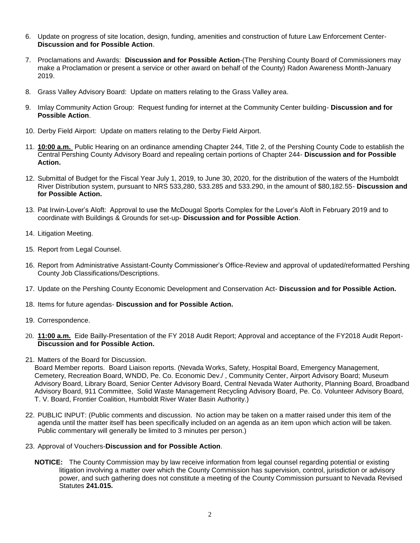- 6. Update on progress of site location, design, funding, amenities and construction of future Law Enforcement Center-**Discussion and for Possible Action**.
- 7. Proclamations and Awards: **Discussion and for Possible Action**-(The Pershing County Board of Commissioners may make a Proclamation or present a service or other award on behalf of the County) Radon Awareness Month-January 2019.
- 8. Grass Valley Advisory Board: Update on matters relating to the Grass Valley area.
- 9. Imlay Community Action Group: Request funding for internet at the Community Center building- **Discussion and for Possible Action**.
- 10. Derby Field Airport: Update on matters relating to the Derby Field Airport.
- 11. **10:00 a.m.** Public Hearing on an ordinance amending Chapter 244, Title 2, of the Pershing County Code to establish the Central Pershing County Advisory Board and repealing certain portions of Chapter 244- **Discussion and for Possible Action.**
- 12. Submittal of Budget for the Fiscal Year July 1, 2019, to June 30, 2020, for the distribution of the waters of the Humboldt River Distribution system, pursuant to NRS 533,280, 533.285 and 533.290, in the amount of \$80,182.55- **Discussion and for Possible Action.**
- 13. Pat Irwin-Lover's Aloft: Approval to use the McDougal Sports Complex for the Lover's Aloft in February 2019 and to coordinate with Buildings & Grounds for set-up- **Discussion and for Possible Action**.
- 14. Litigation Meeting.
- 15. Report from Legal Counsel.
- 16. Report from Administrative Assistant-County Commissioner's Office-Review and approval of updated/reformatted Pershing County Job Classifications/Descriptions.
- 17. Update on the Pershing County Economic Development and Conservation Act- **Discussion and for Possible Action.**
- 18. Items for future agendas- **Discussion and for Possible Action.**
- 19. Correspondence.
- 20. **11:00 a.m.** Eide Bailly-Presentation of the FY 2018 Audit Report; Approval and acceptance of the FY2018 Audit Report-**Discussion and for Possible Action.**
- 21. Matters of the Board for Discussion.

Board Member reports. Board Liaison reports. (Nevada Works, Safety, Hospital Board, Emergency Management, Cemetery, Recreation Board, WNDD, Pe. Co. Economic Dev./ , Community Center, Airport Advisory Board; Museum Advisory Board, Library Board, Senior Center Advisory Board, Central Nevada Water Authority, Planning Board, Broadband Advisory Board, 911 Committee, Solid Waste Management Recycling Advisory Board, Pe. Co. Volunteer Advisory Board, T. V. Board, Frontier Coalition, Humboldt River Water Basin Authority.)

- 22. PUBLIC INPUT: (Public comments and discussion. No action may be taken on a matter raised under this item of the agenda until the matter itself has been specifically included on an agenda as an item upon which action will be taken. Public commentary will generally be limited to 3 minutes per person.)
- 23. Approval of Vouchers-**Discussion and for Possible Action**.
	- **NOTICE:** The County Commission may by law receive information from legal counsel regarding potential or existing litigation involving a matter over which the County Commission has supervision, control, jurisdiction or advisory power, and such gathering does not constitute a meeting of the County Commission pursuant to Nevada Revised Statutes **241.015.**